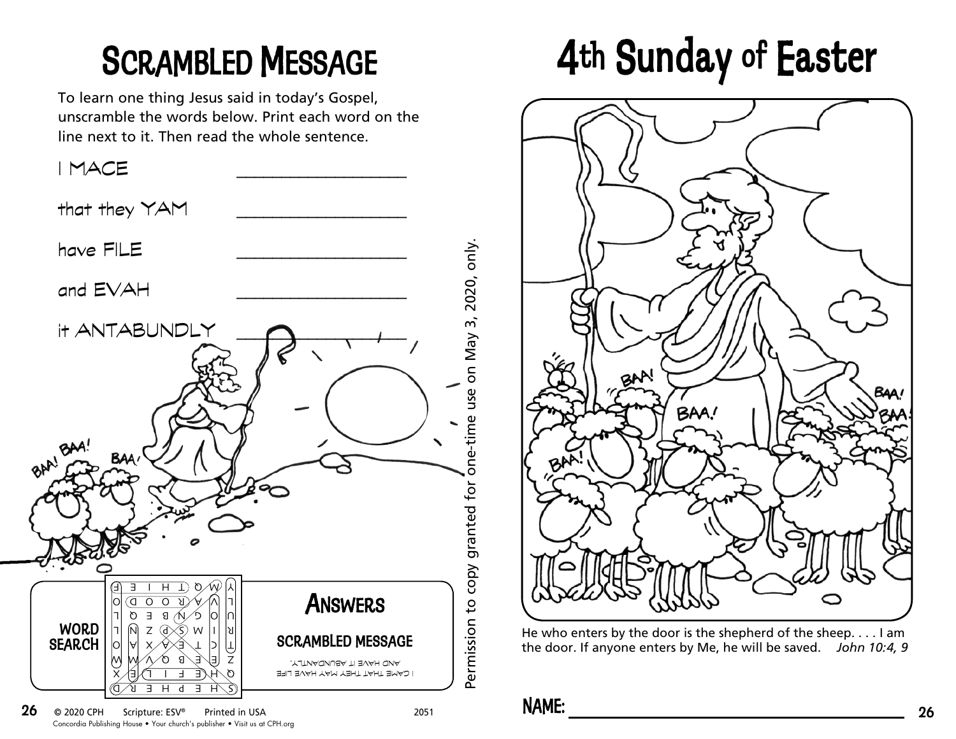To learn one thing Jesus said in today's Gospel, unscramble the words below. Print each word on the line next to it. Then read the whole sentence.



## SCRAMBLED MESSAGE 4th Sunday of Easter



He who enters by the door is the shepherd of the sheep. . . . I am the door. If anyone enters by Me, he will be saved. *John 10:4, 9*